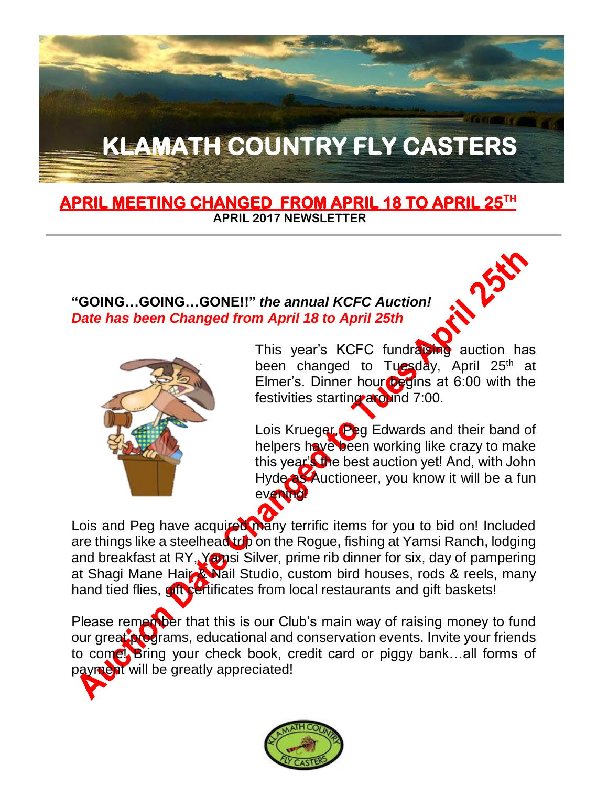# **KLAMATH COUNTRY FLY CASTERS**

#### **APRIL MEETING CHANGED FROM APRIL 18 TO APRIL 25TH APRIL 2017 NEWSLETTER**

#### **"GOING…GOING…GONE!!"** *the annual KCFC Auction! Date has been Changed from April 18 to April 25th*



This year's KCFC fundraising auction has been changed to Tuesday, April 25<sup>th</sup> at Elmer's. Dinner hour  $\log$  m at 6:00 with the festivities starting around 7:00.

**NASH** 

Lois Krueger, Peg Edwards and their band of helpers have been working like crazy to make this year's the best auction yet! And, with John Hyde **as Auctioneer**, you know it will be a fun evening!

Lois and Peg have acquired many terrific items for you to bid on! Included are things like a steelhead trip on the Rogue, fishing at Yamsi Ranch, lodging and breakfast at RY, Yamsi Silver, prime rib dinner for six, day of pampering at Shagi Mane Hair Wail Studio, custom bird houses, rods & reels, many hand tied flies, gift certificates from local restaurants and gift baskets!

Please remember that this is our Club's main way of raising money to fund our great programs, educational and conservation events. Invite your friends to come! Bring your check book, credit card or piggy bank…all forms of payment will be greatly appreciated!

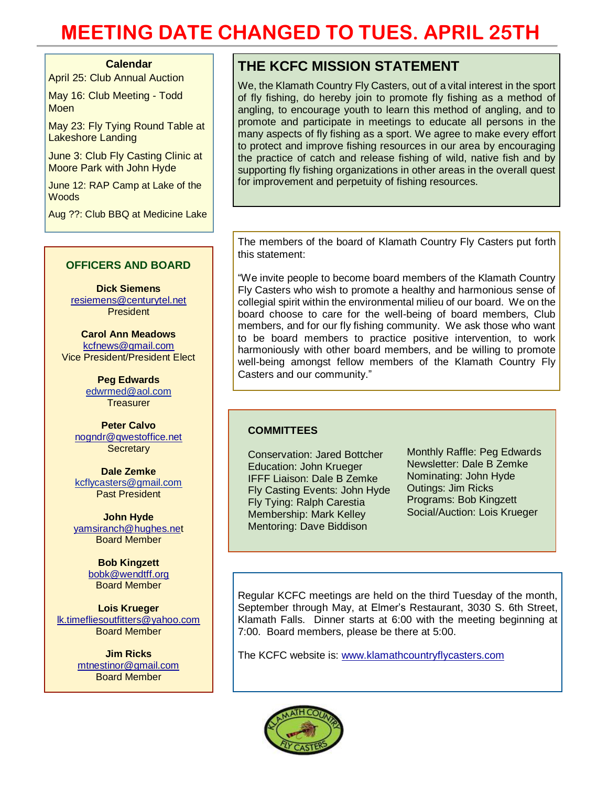#### **Calendar**

April 25: Club Annual Auction

May 16: Club Meeting - Todd **Moen** 

May 23: Fly Tying Round Table at Lakeshore Landing

June 3: Club Fly Casting Clinic at Moore Park with John Hyde

June 12: RAP Camp at Lake of the **Woods** 

Aug ??: Club BBQ at Medicine Lake

#### **OFFICERS AND BOARD**

**Dick Siemens** [resiemens@centurytel.net](mailto:resiemens@centurytel.net) President

**Carol Ann Meadows** [kcfnews@gmail.com](mailto:kcfnews@gmail.com) Vice President/President Elect

> **Peg Edwards** [edwrmed@aol.com](mailto:edwrmed@aol.com) **Treasurer**

**Peter Calvo** [nogndr@qwestoffice.net](mailto:nogndr@qwestoffice.net) **Secretary** 

**Dale Zemke** [kcflycasters@gmail.com](mailto:kcflycasters@gmail.com) Past President

**John Hyde** [yamsiranch@hughes.net](mailto:yamsiranch@hughes.ne) Board Member

> **Bob Kingzett** [bobk@wendtff.org](mailto:bobk@jeld-wen.com) Board Member

**Lois Krueger** [lk.timefliesoutfitters@yahoo.com](mailto:lk.timefliesoutfitters@yahoo.com) Board Member

> **Jim Ricks** [mtnestinor@gmail.com](mailto:mtnestinor@gmail.com) Board Member

#### **THE KCFC MISSION STATEMENT**

We, the Klamath Country Fly Casters, out of a vital interest in the sport of fly fishing, do hereby join to promote fly fishing as a method of angling, to encourage youth to learn this method of angling, and to promote and participate in meetings to educate all persons in the many aspects of fly fishing as a sport. We agree to make every effort to protect and improve fishing resources in our area by encouraging the practice of catch and release fishing of wild, native fish and by supporting fly fishing organizations in other areas in the overall quest for improvement and perpetuity of fishing resources.

The members of the board of Klamath Country Fly Casters put forth this statement:

"We invite people to become board members of the Klamath Country Fly Casters who wish to promote a healthy and harmonious sense of collegial spirit within the environmental milieu of our board. We on the board choose to care for the well-being of board members, Club members, and for our fly fishing community. We ask those who want to be board members to practice positive intervention, to work harmoniously with other board members, and be willing to promote well-being amongst fellow members of the Klamath Country Fly Casters and our community."

#### **COMMITTEES**

Conservation: Jared Bottcher Education: John Krueger IFFF Liaison: Dale B Zemke Fly Casting Events: John Hyde Fly Tying: Ralph Carestia Membership: Mark Kelley Mentoring: Dave Biddison

Monthly Raffle: Peg Edwards Newsletter: Dale B Zemke Nominating: John Hyde Outings: Jim Ricks Programs: Bob Kingzett Social/Auction: Lois Krueger

Regular KCFC meetings are held on the third Tuesday of the month, September through May, at Elmer's Restaurant, 3030 S. 6th Street, Klamath Falls. Dinner starts at 6:00 with the meeting beginning at 7:00. Board members, please be there at 5:00.

The KCFC website is: [www.klamathcountryflycasters.com](http://www.klamathcountryflycasters.com/)

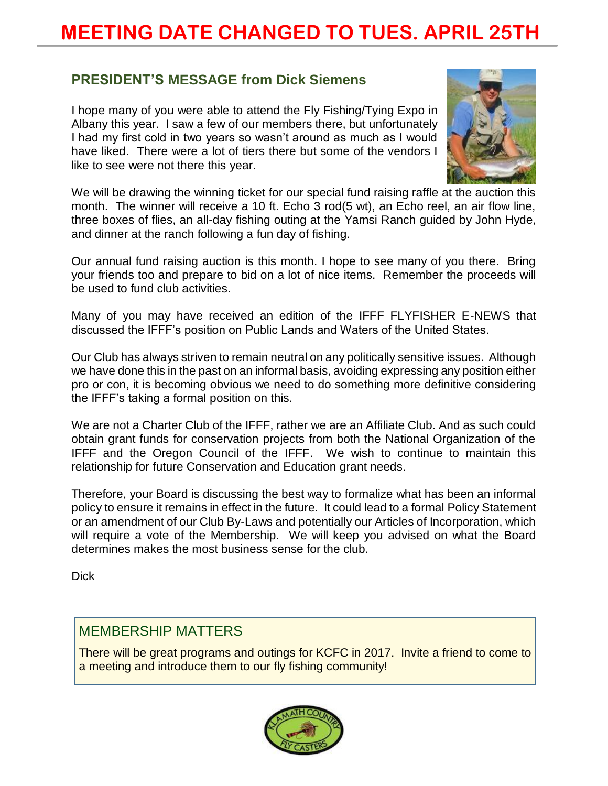#### **PRESIDENT'S MESSAGE from Dick Siemens**

I hope many of you were able to attend the Fly Fishing/Tying Expo in Albany this year. I saw a few of our members there, but unfortunately I had my first cold in two years so wasn't around as much as I would have liked. There were a lot of tiers there but some of the vendors I like to see were not there this year.



We will be drawing the winning ticket for our special fund raising raffle at the auction this month. The winner will receive a 10 ft. Echo 3 rod(5 wt), an Echo reel, an air flow line, three boxes of flies, an all-day fishing outing at the Yamsi Ranch guided by John Hyde, and dinner at the ranch following a fun day of fishing.

Our annual fund raising auction is this month. I hope to see many of you there. Bring your friends too and prepare to bid on a lot of nice items. Remember the proceeds will be used to fund club activities.

Many of you may have received an edition of the IFFF FLYFISHER E-NEWS that discussed the IFFF's position on Public Lands and Waters of the United States.

Our Club has always striven to remain neutral on any politically sensitive issues. Although we have done this in the past on an informal basis, avoiding expressing any position either pro or con, it is becoming obvious we need to do something more definitive considering the IFFF's taking a formal position on this.

We are not a Charter Club of the IFFF, rather we are an Affiliate Club. And as such could obtain grant funds for conservation projects from both the National Organization of the IFFF and the Oregon Council of the IFFF. We wish to continue to maintain this relationship for future Conservation and Education grant needs.

Therefore, your Board is discussing the best way to formalize what has been an informal policy to ensure it remains in effect in the future. It could lead to a formal Policy Statement or an amendment of our Club By-Laws and potentially our Articles of Incorporation, which will require a vote of the Membership. We will keep you advised on what the Board determines makes the most business sense for the club.

Dick

#### MEMBERSHIP MATTERS

There will be great programs and outings for KCFC in 2017. Invite a friend to come to a meeting and introduce them to our fly fishing community!

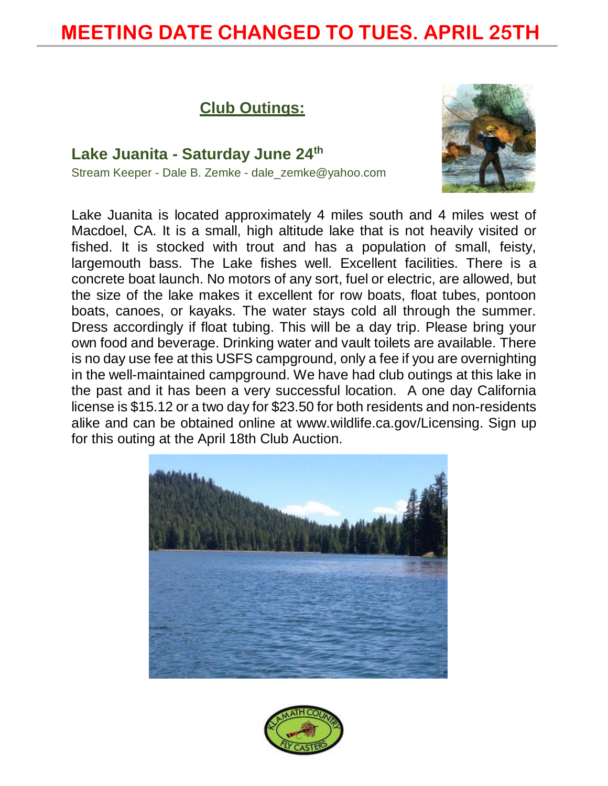#### **Club Outings:**

**Lake Juanita - Saturday June 24th** Stream Keeper - Dale B. Zemke - dale\_zemke@yahoo.com



Lake Juanita is located approximately 4 miles south and 4 miles west of Macdoel, CA. It is a small, high altitude lake that is not heavily visited or fished. It is stocked with trout and has a population of small, feisty, largemouth bass. The Lake fishes well. Excellent facilities. There is a concrete boat launch. No motors of any sort, fuel or electric, are allowed, but the size of the lake makes it excellent for row boats, float tubes, pontoon boats, canoes, or kayaks. The water stays cold all through the summer. Dress accordingly if float tubing. This will be a day trip. Please bring your own food and beverage. Drinking water and vault toilets are available. There is no day use fee at this USFS campground, only a fee if you are overnighting in the well-maintained campground. We have had club outings at this lake in the past and it has been a very successful location. A one day California license is \$15.12 or a two day for \$23.50 for both residents and non-residents alike and can be obtained online at [www.wildlife.ca.gov/Licensing.](http://www.wildlife.ca.gov/Licensing) Sign up for this outing at the April 18th Club Auction.



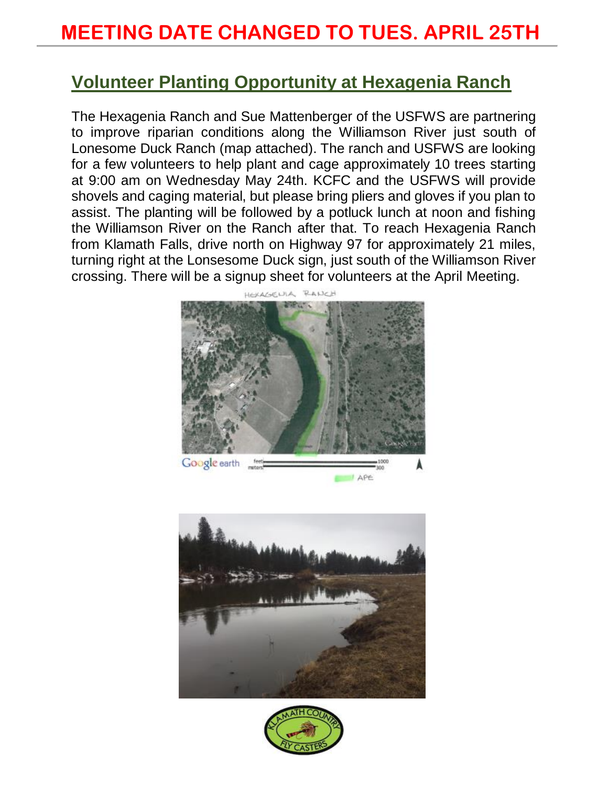#### **Volunteer Planting Opportunity at Hexagenia Ranch**

The Hexagenia Ranch and Sue Mattenberger of the USFWS are partnering to improve riparian conditions along the Williamson River just south of Lonesome Duck Ranch (map attached). The ranch and USFWS are looking for a few volunteers to help plant and cage approximately 10 trees starting at 9:00 am on Wednesday May 24th. KCFC and the USFWS will provide shovels and caging material, but please bring pliers and gloves if you plan to assist. The planting will be followed by a potluck lunch at noon and fishing the Williamson River on the Ranch after that. To reach Hexagenia Ranch from Klamath Falls, drive north on Highway 97 for approximately 21 miles, turning right at the Lonsesome Duck sign, just south of the Williamson River crossing. There will be a signup sheet for volunteers at the April Meeting.





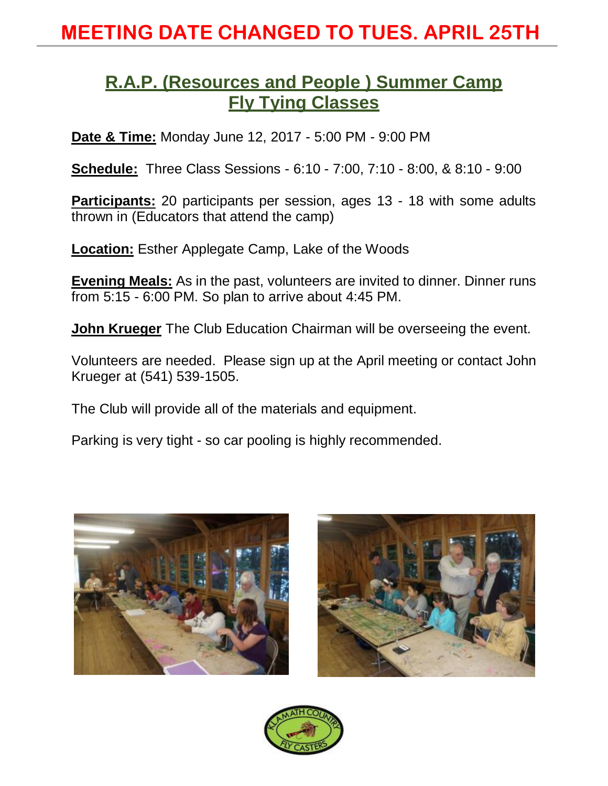#### **R.A.P. (Resources and People ) Summer Camp Fly Tying Classes**

**Date & Time:** Monday June 12, 2017 - 5:00 PM - 9:00 PM

**Schedule:** Three Class Sessions - 6:10 - 7:00, 7:10 - 8:00, & 8:10 - 9:00

**Participants:** 20 participants per session, ages 13 - 18 with some adults thrown in (Educators that attend the camp)

**Location:** Esther Applegate Camp, Lake of the Woods

**Evening Meals:** As in the past, volunteers are invited to dinner. Dinner runs from 5:15 - 6:00 PM. So plan to arrive about 4:45 PM.

**John Krueger** The Club Education Chairman will be overseeing the event.

Volunteers are needed. Please sign up at the April meeting or contact John Krueger at (541) 539-1505.

The Club will provide all of the materials and equipment.

Parking is very tight - so car pooling is highly recommended.





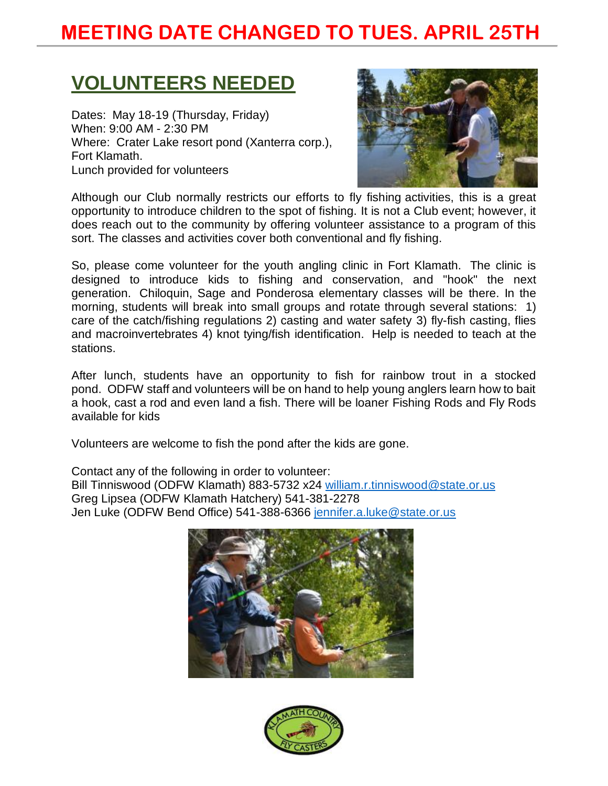# **VOLUNTEERS NEEDED**

Dates: May 18-19 (Thursday, Friday) When: 9:00 AM - 2:30 PM Where: Crater Lake resort pond (Xanterra corp.), Fort Klamath. Lunch provided for volunteers



Although our Club normally restricts our efforts to fly fishing activities, this is a great opportunity to introduce children to the spot of fishing. It is not a Club event; however, it does reach out to the community by offering volunteer assistance to a program of this sort. The classes and activities cover both conventional and fly fishing.

So, please come volunteer for the youth angling clinic in Fort Klamath. The clinic is designed to introduce kids to fishing and conservation, and "hook" the next generation. Chiloquin, Sage and Ponderosa elementary classes will be there. In the morning, students will break into small groups and rotate through several stations: 1) care of the catch/fishing regulations 2) casting and water safety 3) fly-fish casting, flies and macroinvertebrates 4) knot tying/fish identification. Help is needed to teach at the stations.

After lunch, students have an opportunity to fish for rainbow trout in a stocked pond. ODFW staff and volunteers will be on hand to help young anglers learn how to bait a hook, cast a rod and even land a fish. There will be loaner Fishing Rods and Fly Rods available for kids

Volunteers are welcome to fish the pond after the kids are gone.

Contact any of the following in order to volunteer: Bill Tinniswood (ODFW Klamath) 883-5732 x24 [william.r.tinniswood@state.or.us](mailto:william.r.tinniswood@state.or.us) Greg Lipsea (ODFW Klamath Hatchery) 541-381-2278 Jen Luke (ODFW Bend Office) 541-388-6366 [jennifer.a.luke@state.or.us](mailto:jennifer.a.luke@state.or.us)



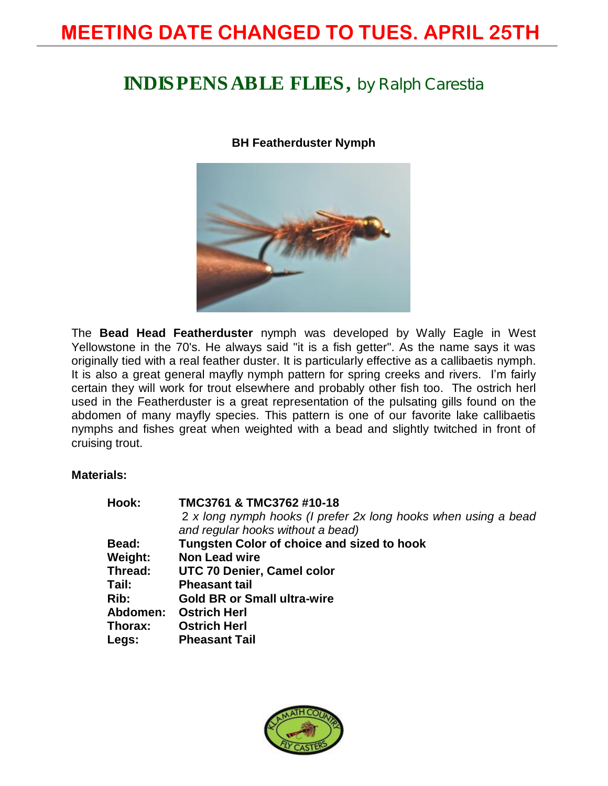### INDISPENSABLE FLIES, **by Ralph Carestia**

#### **BH Featherduster Nymph**



The **Bead Head Featherduster** nymph was developed by Wally Eagle in West Yellowstone in the 70's. He always said "it is a fish getter". As the name says it was originally tied with a real feather duster. It is particularly effective as a callibaetis nymph. It is also a great general mayfly nymph pattern for spring creeks and rivers. I'm fairly certain they will work for trout elsewhere and probably other fish too. The ostrich herl used in the Featherduster is a great representation of the pulsating gills found on the abdomen of many mayfly species. This pattern is one of our favorite lake callibaetis nymphs and fishes great when weighted with a bead and slightly twitched in front of cruising trout.

#### **Materials:**

| Hook:    | TMC3761 & TMC3762 #10-18                                       |
|----------|----------------------------------------------------------------|
|          | 2 x long nymph hooks (I prefer 2x long hooks when using a bead |
|          | and regular hooks without a bead)                              |
| Bead:    | Tungsten Color of choice and sized to hook                     |
| Weight:  | <b>Non Lead wire</b>                                           |
| Thread:  | UTC 70 Denier, Camel color                                     |
| Tail:    | <b>Pheasant tail</b>                                           |
| Rib:     | <b>Gold BR or Small ultra-wire</b>                             |
| Abdomen: | <b>Ostrich Herl</b>                                            |
| Thorax:  | <b>Ostrich Herl</b>                                            |
| Legs:    | <b>Pheasant Tail</b>                                           |

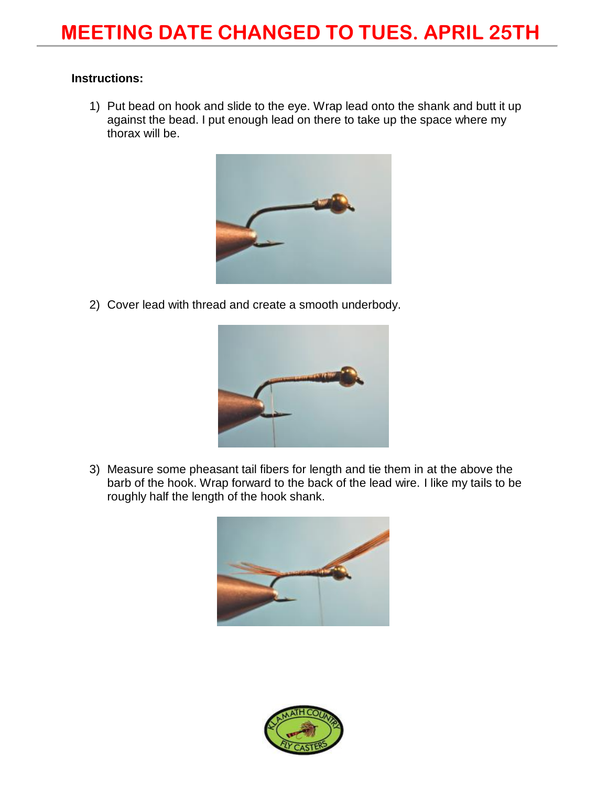#### **Instructions:**

1) Put bead on hook and slide to the eye. Wrap lead onto the shank and butt it up against the bead. I put enough lead on there to take up the space where my thorax will be.



2) Cover lead with thread and create a smooth underbody.



3) Measure some pheasant tail fibers for length and tie them in at the above the barb of the hook. Wrap forward to the back of the lead wire. I like my tails to be roughly half the length of the hook shank.



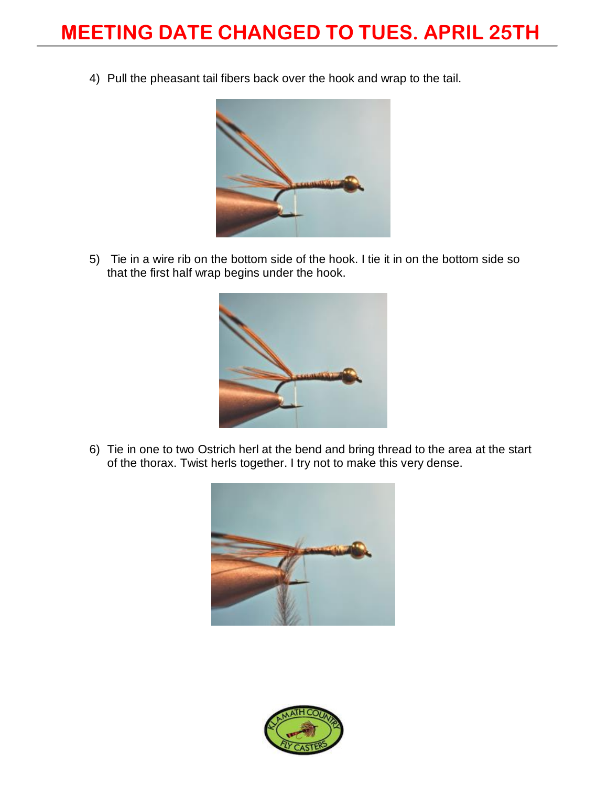4) Pull the pheasant tail fibers back over the hook and wrap to the tail.



5) Tie in a wire rib on the bottom side of the hook. I tie it in on the bottom side so that the first half wrap begins under the hook.



6) Tie in one to two Ostrich herl at the bend and bring thread to the area at the start of the thorax. Twist herls together. I try not to make this very dense.



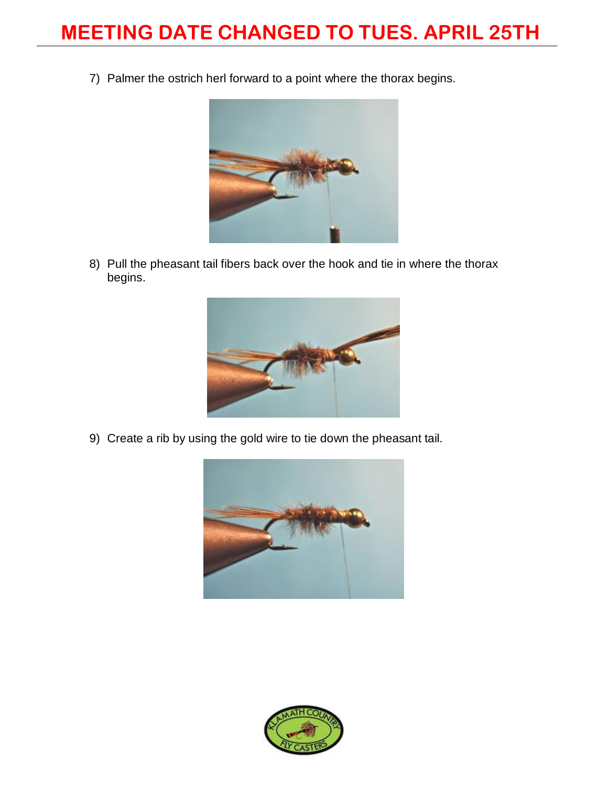7) Palmer the ostrich herl forward to a point where the thorax begins.



8) Pull the pheasant tail fibers back over the hook and tie in where the thorax begins.



9) Create a rib by using the gold wire to tie down the pheasant tail.



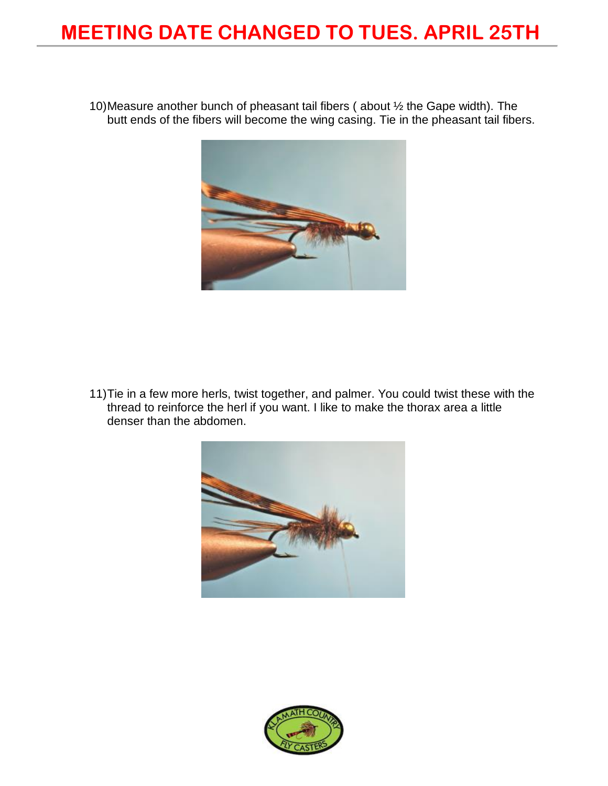10)Measure another bunch of pheasant tail fibers ( about ½ the Gape width). The butt ends of the fibers will become the wing casing. Tie in the pheasant tail fibers.



11)Tie in a few more herls, twist together, and palmer. You could twist these with the thread to reinforce the herl if you want. I like to make the thorax area a little denser than the abdomen.



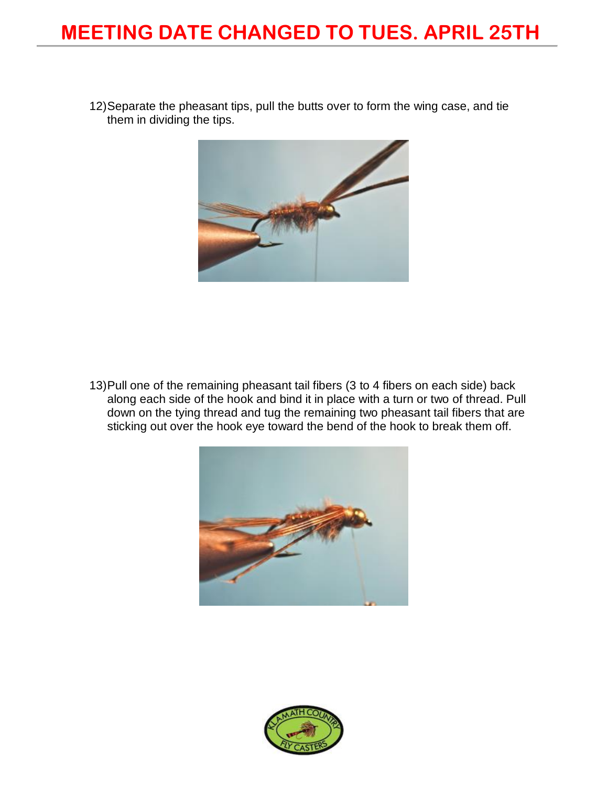12)Separate the pheasant tips, pull the butts over to form the wing case, and tie them in dividing the tips.



13)Pull one of the remaining pheasant tail fibers (3 to 4 fibers on each side) back along each side of the hook and bind it in place with a turn or two of thread. Pull down on the tying thread and tug the remaining two pheasant tail fibers that are sticking out over the hook eye toward the bend of the hook to break them off.



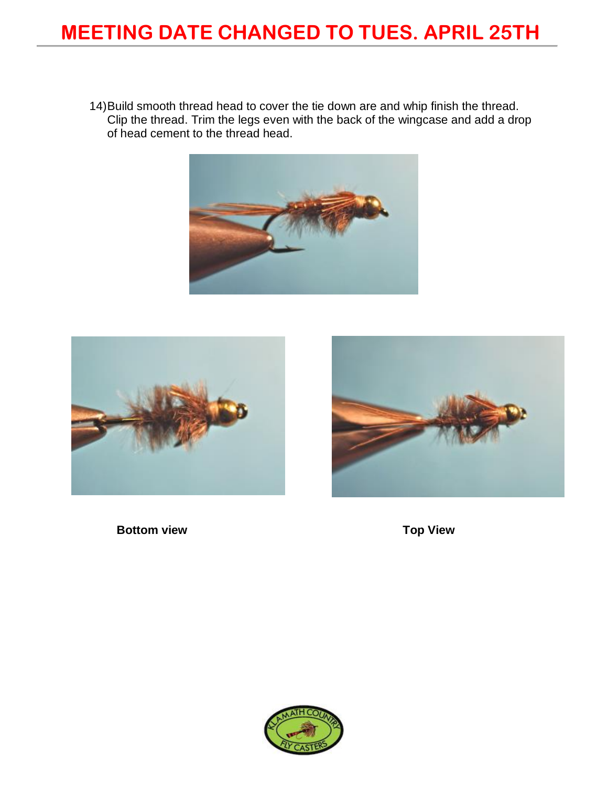14)Build smooth thread head to cover the tie down are and whip finish the thread. Clip the thread. Trim the legs even with the back of the wingcase and add a drop of head cement to the thread head.







**Bottom view Top View** 

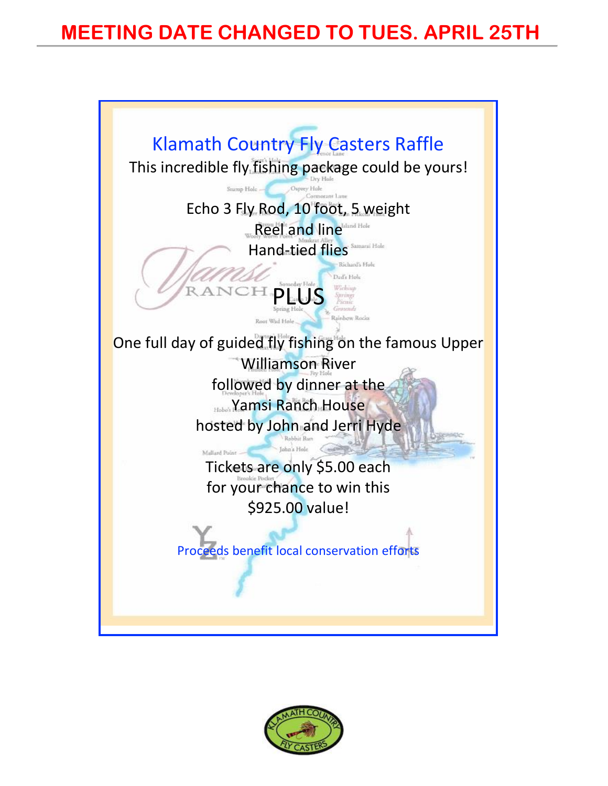